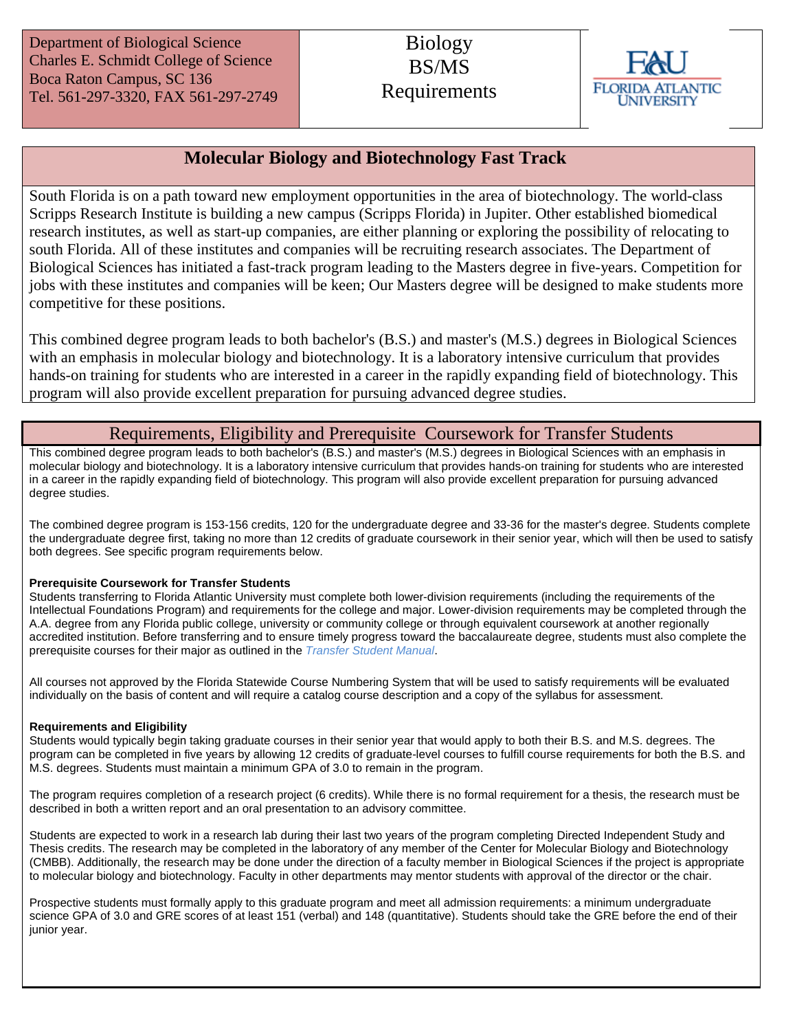Department of Biological Science Charles E. Schmidt College of Science Boca Raton Campus, SC 136 Tel. 561-297-3320, FAX 561-297-2749



### **Molecular Biology and Biotechnology Fast Track**

South Florida is on a path toward new employment opportunities in the area of biotechnology. The world-class Scripps Research Institute is building a new campus (Scripps Florida) in Jupiter. Other established biomedical research institutes, as well as start-up companies, are either planning or exploring the possibility of relocating to south Florida. All of these institutes and companies will be recruiting research associates. The Department of Biological Sciences has initiated a fast-track program leading to the Masters degree in five-years. Competition for jobs with these institutes and companies will be keen; Our Masters degree will be designed to make students more competitive for these positions.

This combined degree program leads to both bachelor's (B.S.) and master's (M.S.) degrees in Biological Sciences with an emphasis in molecular biology and biotechnology. It is a laboratory intensive curriculum that provides hands-on training for students who are interested in a career in the rapidly expanding field of biotechnology. This program will also provide excellent preparation for pursuing advanced degree studies.

### Requirements, Eligibility and Prerequisite Coursework for Transfer Students

This combined degree program leads to both bachelor's (B.S.) and master's (M.S.) degrees in Biological Sciences with an emphasis in molecular biology and biotechnology. It is a laboratory intensive curriculum that provides hands-on training for students who are interested in a career in the rapidly expanding field of biotechnology. This program will also provide excellent preparation for pursuing advanced degree studies.

The combined degree program is 153-156 credits, 120 for the undergraduate degree and 33-36 for the master's degree. Students complete the undergraduate degree first, taking no more than 12 credits of graduate coursework in their senior year, which will then be used to satisfy both degrees. See specific program requirements below.

#### **Prerequisite Coursework for Transfer Students**

Students transferring to Florida Atlantic University must complete both lower-division requirements (including the requirements of the Intellectual Foundations Program) and requirements for the college and major. Lower-division requirements may be completed through the A.A. degree from any Florida public college, university or community college or through equivalent coursework at another regionally accredited institution. Before transferring and to ensure timely progress toward the baccalaureate degree, students must also complete the prerequisite courses for their major as outlined in the *[Transfer Student Manual](http://www.fau.edu/registrar/registration/transfer.php)*.

All courses not approved by the Florida Statewide Course Numbering System that will be used to satisfy requirements will be evaluated individually on the basis of content and will require a catalog course description and a copy of the syllabus for assessment.

#### **Requirements and Eligibility**

Students would typically begin taking graduate courses in their senior year that would apply to both their B.S. and M.S. degrees. The program can be completed in five years by allowing 12 credits of graduate-level courses to fulfill course requirements for both the B.S. and M.S. degrees. Students must maintain a minimum GPA of 3.0 to remain in the program.

The program requires completion of a research project (6 credits). While there is no formal requirement for a thesis, the research must be described in both a written report and an oral presentation to an advisory committee.

Students are expected to work in a research lab during their last two years of the program completing Directed Independent Study and Thesis credits. The research may be completed in the laboratory of any member of the Center for Molecular Biology and Biotechnology (CMBB). Additionally, the research may be done under the direction of a faculty member in Biological Sciences if the project is appropriate to molecular biology and biotechnology. Faculty in other departments may mentor students with approval of the director or the chair.

Prospective students must formally apply to this graduate program and meet all admission requirements: a minimum undergraduate science GPA of 3.0 and GRE scores of at least 151 (verbal) and 148 (quantitative). Students should take the GRE before the end of their junior year.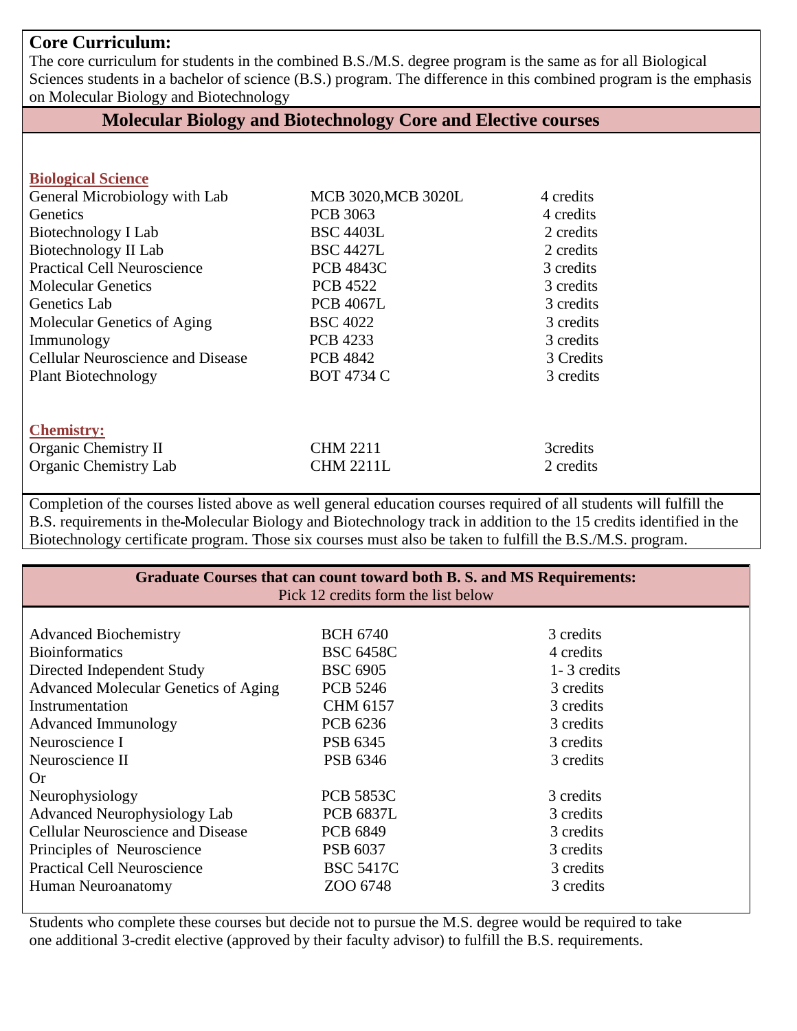### **Core Curriculum:**

The core curriculum for students in the combined B.S./M.S. degree program is the same as for all Biological Sciences students in a bachelor of science (B.S.) program. The difference in this combined program is the emphasis on Molecular Biology and Biotechnology

### **Molecular Biology and Biotechnology Core and Elective courses**

| <b>Biological Science</b>                |                     |           |
|------------------------------------------|---------------------|-----------|
| General Microbiology with Lab            | MCB 3020, MCB 3020L | 4 credits |
| Genetics                                 | <b>PCB 3063</b>     | 4 credits |
| Biotechnology I Lab                      | <b>BSC 4403L</b>    | 2 credits |
| Biotechnology II Lab                     | <b>BSC 4427L</b>    | 2 credits |
| <b>Practical Cell Neuroscience</b>       | <b>PCB 4843C</b>    | 3 credits |
| <b>Molecular Genetics</b>                | <b>PCB 4522</b>     | 3 credits |
| Genetics Lab                             | <b>PCB 4067L</b>    | 3 credits |
| Molecular Genetics of Aging              | <b>BSC 4022</b>     | 3 credits |
| Immunology                               | <b>PCB 4233</b>     | 3 credits |
| <b>Cellular Neuroscience and Disease</b> | <b>PCB 4842</b>     | 3 Credits |
| <b>Plant Biotechnology</b>               | <b>BOT 4734 C</b>   | 3 credits |
|                                          |                     |           |
| <b>Chemistry:</b>                        |                     |           |
| Organic Chemistry II                     | <b>CHM 2211</b>     | 3credits  |
| <b>Organic Chemistry Lab</b>             | <b>CHM 2211L</b>    | 2 credits |

Completion of the courses listed above as well general education courses required of all students will fulfill the B.S. requirements in the Molecular Biology and Biotechnology track in addition to the 15 credits identified in the Biotechnology certificate program. Those six courses must also be taken to fulfill the B.S./M.S. program.

| <b>Graduate Courses that can count toward both B. S. and MS Requirements:</b><br>Pick 12 credits form the list below |                  |             |  |
|----------------------------------------------------------------------------------------------------------------------|------------------|-------------|--|
| <b>Advanced Biochemistry</b>                                                                                         | <b>BCH 6740</b>  | 3 credits   |  |
| <b>Bioinformatics</b>                                                                                                | <b>BSC 6458C</b> | 4 credits   |  |
| Directed Independent Study                                                                                           | <b>BSC 6905</b>  | 1-3 credits |  |
| Advanced Molecular Genetics of Aging                                                                                 | <b>PCB 5246</b>  | 3 credits   |  |
| Instrumentation                                                                                                      | <b>CHM 6157</b>  | 3 credits   |  |
| <b>Advanced Immunology</b>                                                                                           | PCB 6236         | 3 credits   |  |
| Neuroscience I                                                                                                       | PSB 6345         | 3 credits   |  |
| Neuroscience II                                                                                                      | PSB 6346         | 3 credits   |  |
| Or                                                                                                                   |                  |             |  |
| Neurophysiology                                                                                                      | <b>PCB 5853C</b> | 3 credits   |  |
| Advanced Neurophysiology Lab                                                                                         | <b>PCB 6837L</b> | 3 credits   |  |
| <b>Cellular Neuroscience and Disease</b>                                                                             | <b>PCB 6849</b>  | 3 credits   |  |
| Principles of Neuroscience                                                                                           | PSB 6037         | 3 credits   |  |
| <b>Practical Cell Neuroscience</b>                                                                                   | <b>BSC 5417C</b> | 3 credits   |  |
| Human Neuroanatomy                                                                                                   | ZOO 6748         | 3 credits   |  |

Students who complete these courses but decide not to pursue the M.S. degree would be required to take one additional 3-credit elective (approved by their faculty advisor) to fulfill the B.S. requirements.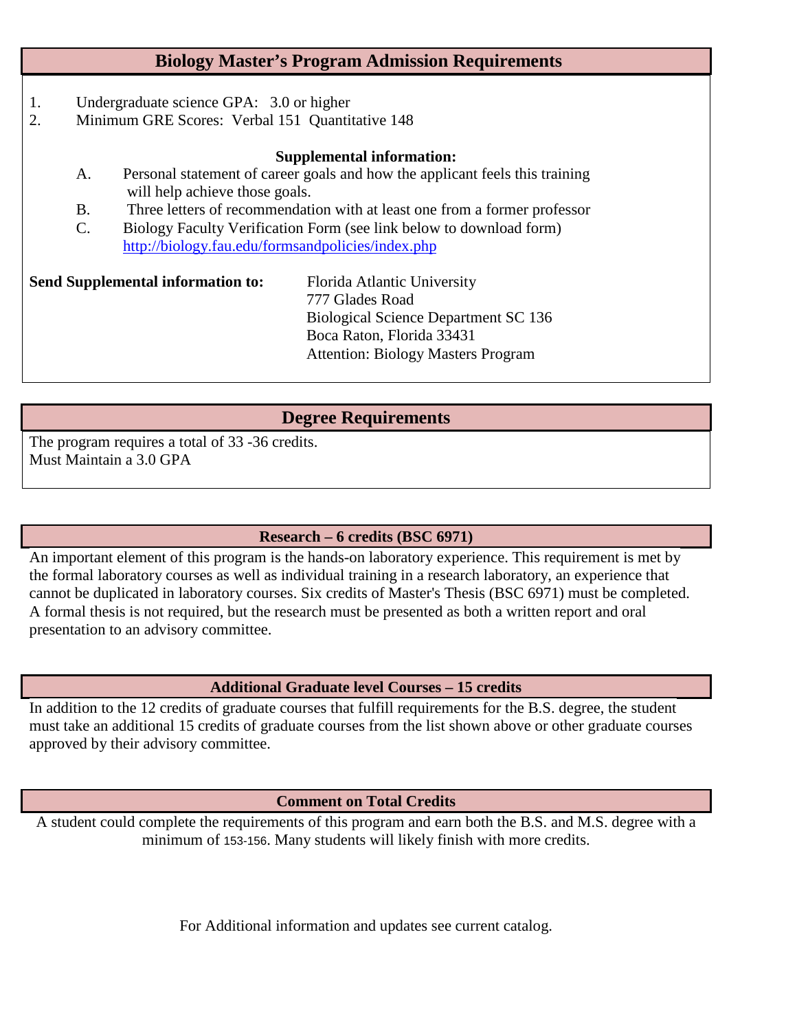#### **Biology Master's Program Admission Requirements**

- 1. Undergraduate science GPA: 3.0 or higher
- 2. Minimum GRE Scores: Verbal 151 Quantitative 148

#### **Supplemental information:**

- A. Personal statement of career goals and how the applicant feels this training will help achieve those goals.
- B. Three letters of recommendation with at least one from a former professor
- C. Biology Faculty Verification Form (see link below to download form) <http://biology.fau.edu/formsandpolicies/index.php>

**Send Supplemental information to:** Florida Atlantic University

 777 Glades Road Biological Science Department SC 136 Boca Raton, Florida 33431 Attention: Biology Masters Program

#### **Degree Requirements**

The program requires a total of 33 -36 credits. Must Maintain a 3.0 GPA

#### **Research – 6 credits (BSC 6971)**

An important element of this program is the hands-on laboratory experience. This requirement is met by the formal laboratory courses as well as individual training in a research laboratory, an experience that cannot be duplicated in laboratory courses. Six credits of Master's Thesis (BSC 6971) must be completed. A formal thesis is not required, but the research must be presented as both a written report and oral presentation to an advisory committee.

#### **Additional Graduate level Courses – 15 credits**

In addition to the 12 credits of graduate courses that fulfill requirements for the B.S. degree, the student must take an additional 15 credits of graduate courses from the list shown above or other graduate courses approved by their advisory committee.

#### **Comment on Total Credits**

A student could complete the requirements of this program and earn both the B.S. and M.S. degree with a minimum of 153-156. Many students will likely finish with more credits.

For Additional information and updates see current catalog.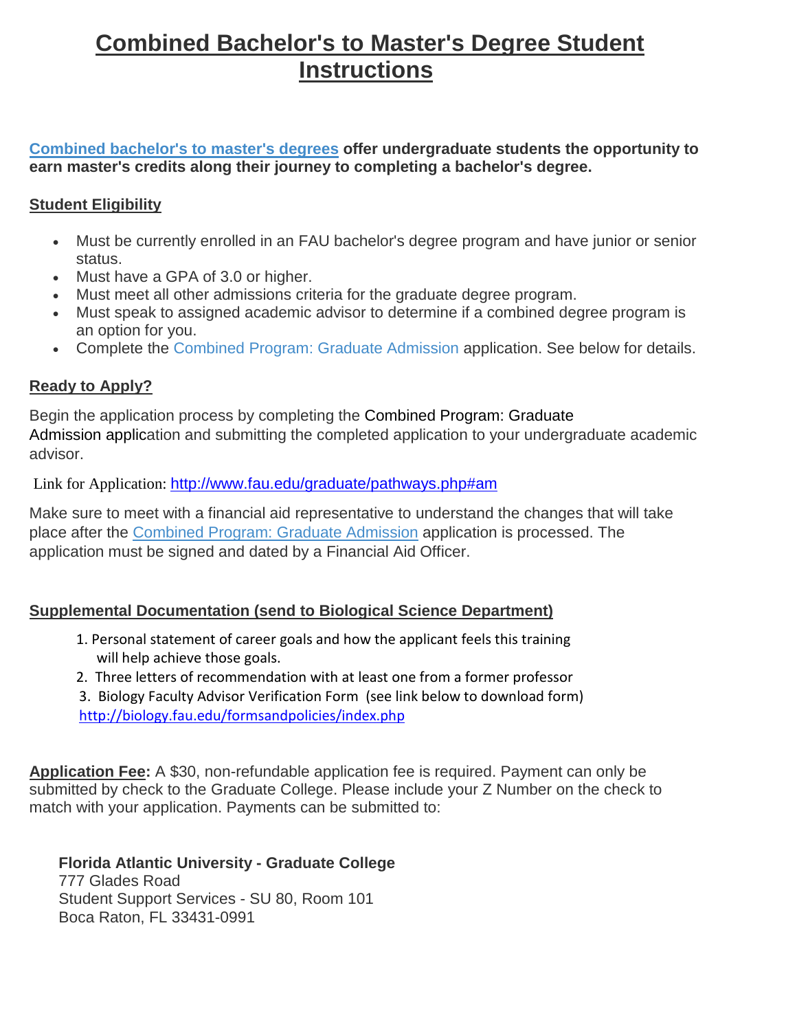# **Combined Bachelor's to Master's Degree Student Instructions**

**[Combined bachelor's to master's degrees](http://www.fau.edu/graduate/pathways.php) offer undergraduate students the opportunity to earn master's credits along their journey to completing a bachelor's degree.**

### **Student Eligibility**

- Must be currently enrolled in an FAU bachelor's degree program and have junior or senior status.
- Must have a GPA of 3.0 or higher.
- Must meet all other admissions criteria for the graduate degree program.
- Must speak to assigned academic advisor to determine if a combined degree program is an option for you.
- Complete the [Combined Program: Graduate Admission](http://www.fau.edu/graduate/docs/FAU-Combined-Program-Application.pdf) application. See below for details.

### **Ready to Apply?**

Begin the application process by completing the [Combined Program: Graduate](http://www.fau.edu/graduate/docs/FAU-Combined-Program-Application.pdf)  [Admission](http://www.fau.edu/graduate/docs/FAU-Combined-Program-Application.pdf) application and submitting the completed application to your undergraduate academic advisor.

Link for Application: <http://www.fau.edu/graduate/pathways.php#am>

Make sure to meet with a financial aid representative to understand the changes that will take place after the [Combined Program: Graduate Admission](http://www.fau.edu/graduate/docs/FAU-Combined-Program-Application.pdf) application is processed. The application must be signed and dated by a Financial Aid Officer.

#### **Supplemental Documentation (send to Biological Science Department)**

- 1. Personal statement of career goals and how the applicant feels this training will help achieve those goals.
- 2. Three letters of recommendation with at least one from a former professor
- 3. Biology Faculty Advisor Verification Form (see link below to download form) <http://biology.fau.edu/formsandpolicies/index.php>

**Application Fee:** A \$30, non-refundable application fee is required. Payment can only be submitted by check to the Graduate College. Please include your Z Number on the check to match with your application. Payments can be submitted to:

**Florida Atlantic University - Graduate College** 777 Glades Road Student Support Services - SU 80, Room 101 Boca Raton, FL 33431-0991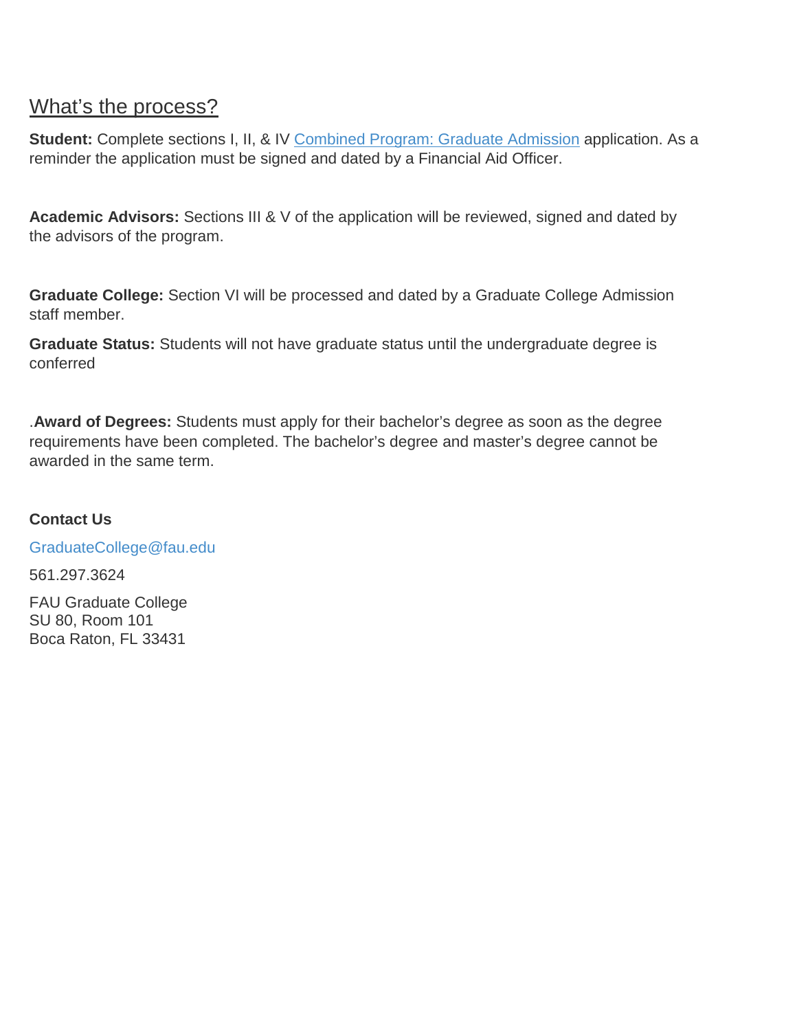## What's the process?

**Student:** Complete sections I, II, & IV [Combined Program: Graduate Admission](http://www.fau.edu/graduate/docs/FAU-Combined-Program-Application.pdf) application. As a reminder the application must be signed and dated by a Financial Aid Officer.

**Academic Advisors:** Sections III & V of the application will be reviewed, signed and dated by the advisors of the program.

**Graduate College:** Section VI will be processed and dated by a Graduate College Admission staff member.

**Graduate Status:** Students will not have graduate status until the undergraduate degree is conferred

.**Award of Degrees:** Students must apply for their bachelor's degree as soon as the degree requirements have been completed. The bachelor's degree and master's degree cannot be awarded in the same term.

#### **Contact Us**

[GraduateCollege@fau.edu](mailto:GraduateCollege@fau.edu)

561.297.3624

FAU Graduate College SU 80, Room 101 Boca Raton, FL 33431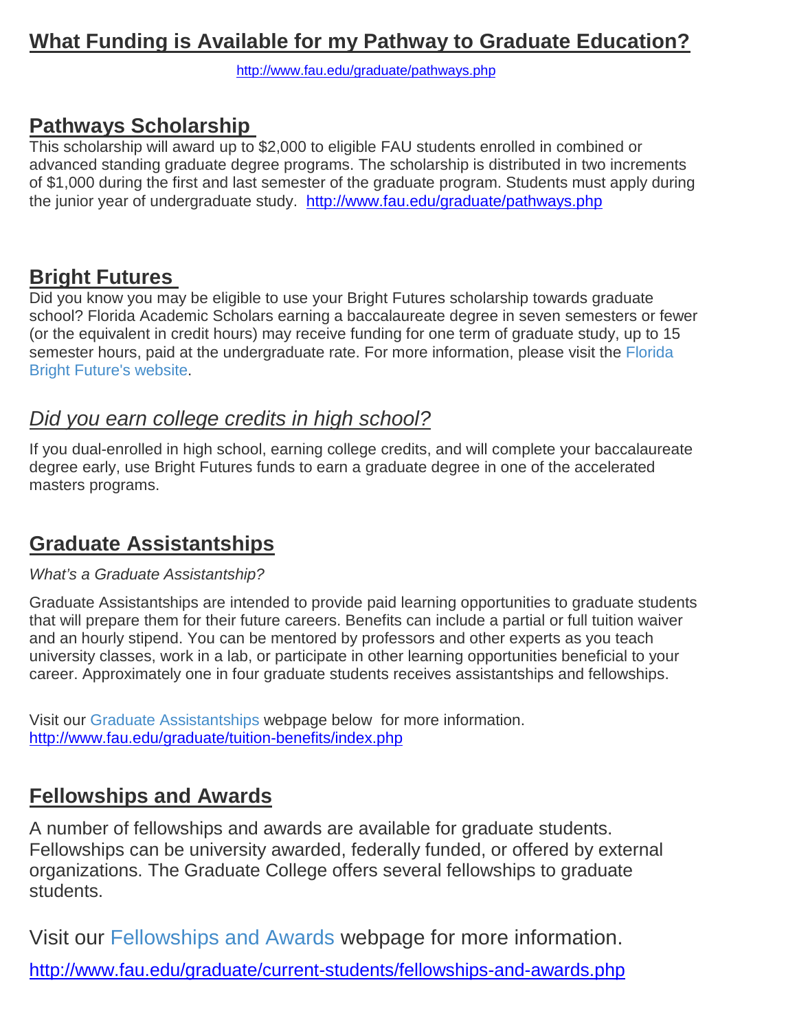# **What Funding is Available for my Pathway to Graduate Education?**

<http://www.fau.edu/graduate/pathways.php>

## **Pathways Scholarship**

This scholarship will award up to \$2,000 to eligible FAU students enrolled in combined or advanced standing graduate degree programs. The scholarship is distributed in two increments of \$1,000 during the first and last semester of the graduate program. Students must apply during the junior year of undergraduate study. <http://www.fau.edu/graduate/pathways.php>

## **Bright Futures**

Did you know you may be eligible to use your Bright Futures scholarship towards graduate school? Florida Academic Scholars earning a baccalaureate degree in seven semesters or fewer (or the equivalent in credit hours) may receive funding for one term of graduate study, up to 15 semester hours, paid at the undergraduate rate. For more information, please visit the [Florida](http://www.floridastudentfinancialaid.org/ssfad/bf/)  [Bright Future's website.](http://www.floridastudentfinancialaid.org/ssfad/bf/)

## *Did you earn college credits in high school?*

If you dual-enrolled in high school, earning college credits, and will complete your baccalaureate degree early, use Bright Futures funds to earn a graduate degree in one of the accelerated masters programs.

## **Graduate Assistantships**

#### *What's a Graduate Assistantship?*

Graduate Assistantships are intended to provide paid learning opportunities to graduate students that will prepare them for their future careers. Benefits can include a partial or full tuition waiver and an hourly stipend. You can be mentored by professors and other experts as you teach university classes, work in a lab, or participate in other learning opportunities beneficial to your career. Approximately one in four graduate students receives assistantships and fellowships.

Visit our [Graduate Assistantships](http://www.fau.edu/graduate/tuition-benefits/index.php) webpage below for more information. <http://www.fau.edu/graduate/tuition-benefits/index.php>

## **Fellowships and Awards**

A number of fellowships and awards are available for graduate students. Fellowships can be university awarded, federally funded, or offered by external organizations. The Graduate College offers several fellowships to graduate students.

Visit our [Fellowships and Awards](http://www.fau.edu/graduate/current-students/fellowships-and-awards.php) webpage for more information. <http://www.fau.edu/graduate/current-students/fellowships-and-awards.php>